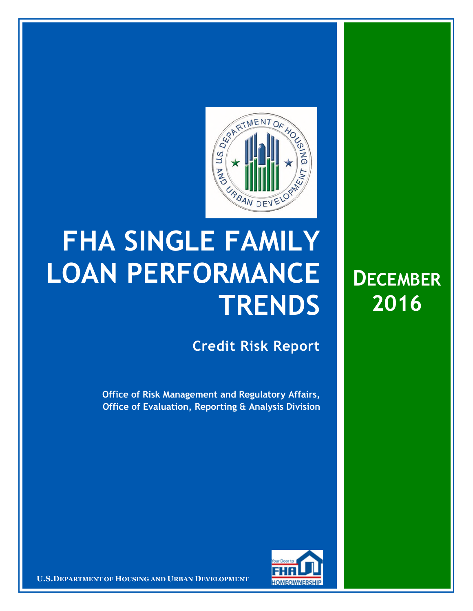

## **FHA SINGLE FAMILY LOAN PERFORMANCE TRENDS**

**Credit Risk Report**

**Office of Risk Management and Regulatory Affairs, Office of Evaluation, Reporting & Analysis Division** 



**U.S.DEPARTMENT OF HOUSING AND URBAN DEVELOPMENT** 

**DECEMBER 2016**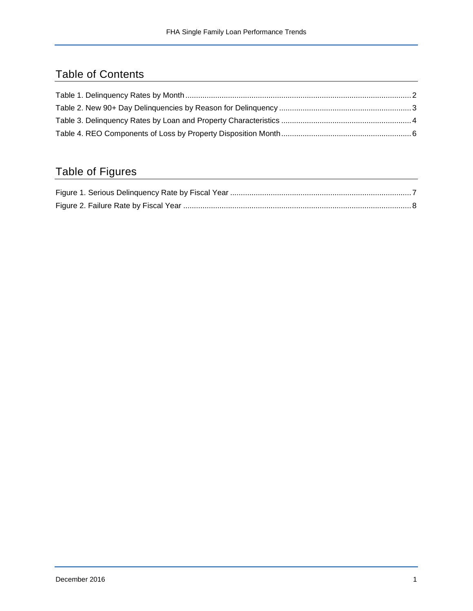## Table of Contents

## Table of Figures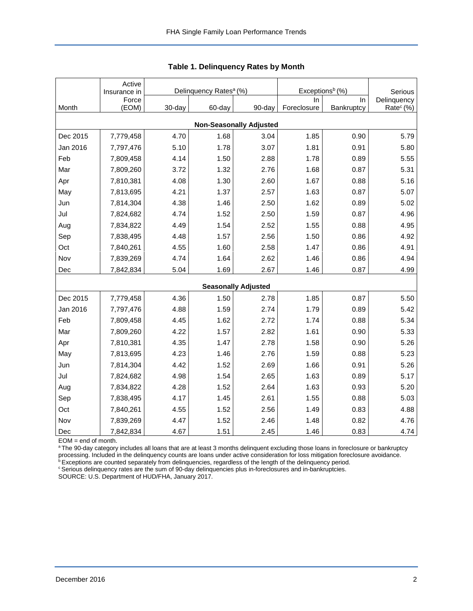<span id="page-2-0"></span>

|                                | Active<br>Insurance in | Delinquency Rates <sup>a</sup> (%) |        |                            | Exceptions <sup>b</sup> (%) | Serious    |                       |  |  |  |  |
|--------------------------------|------------------------|------------------------------------|--------|----------------------------|-----------------------------|------------|-----------------------|--|--|--|--|
|                                | Force                  |                                    |        |                            | In                          | In         | Delinquency           |  |  |  |  |
| Month                          | (EOM)                  | 30-day                             | 60-day | 90-day                     | Foreclosure                 | Bankruptcy | Rate <sup>c</sup> (%) |  |  |  |  |
| <b>Non-Seasonally Adjusted</b> |                        |                                    |        |                            |                             |            |                       |  |  |  |  |
| Dec 2015                       | 7,779,458              | 4.70                               | 1.68   | 3.04                       | 1.85                        | 0.90       | 5.79                  |  |  |  |  |
| Jan 2016                       | 7,797,476              | 5.10                               | 1.78   | 3.07                       | 1.81                        | 0.91       | 5.80                  |  |  |  |  |
| Feb                            | 7,809,458              | 4.14                               | 1.50   | 2.88                       | 1.78                        | 0.89       | 5.55                  |  |  |  |  |
| Mar                            | 7,809,260              | 3.72                               | 1.32   | 2.76                       | 1.68                        | 0.87       | 5.31                  |  |  |  |  |
| Apr                            | 7,810,381              | 4.08                               | 1.30   | 2.60                       | 1.67                        | 0.88       | 5.16                  |  |  |  |  |
| May                            | 7,813,695              | 4.21                               | 1.37   | 2.57                       | 1.63                        | 0.87       | 5.07                  |  |  |  |  |
| Jun                            | 7,814,304              | 4.38                               | 1.46   | 2.50                       | 1.62                        | 0.89       | 5.02                  |  |  |  |  |
| Jul                            | 7,824,682              | 4.74                               | 1.52   | 2.50                       | 1.59                        | 0.87       | 4.96                  |  |  |  |  |
| Aug                            | 7,834,822              | 4.49                               | 1.54   | 2.52                       | 1.55                        | 0.88       | 4.95                  |  |  |  |  |
| Sep                            | 7,838,495              | 4.48                               | 1.57   | 2.56                       | 1.50                        | 0.86       | 4.92                  |  |  |  |  |
| Oct                            | 7,840,261              | 4.55                               | 1.60   | 2.58                       | 1.47                        | 0.86       | 4.91                  |  |  |  |  |
| Nov                            | 7,839,269              | 4.74                               | 1.64   | 2.62                       | 1.46                        | 0.86       | 4.94                  |  |  |  |  |
| Dec                            | 7,842,834              | 5.04                               | 1.69   | 2.67                       | 1.46                        | 0.87       | 4.99                  |  |  |  |  |
|                                |                        |                                    |        | <b>Seasonally Adjusted</b> |                             |            |                       |  |  |  |  |
| Dec 2015                       | 7,779,458              | 4.36                               | 1.50   | 2.78                       | 1.85                        | 0.87       | 5.50                  |  |  |  |  |
| Jan 2016                       | 7,797,476              | 4.88                               | 1.59   | 2.74                       | 1.79                        | 0.89       | 5.42                  |  |  |  |  |
| Feb                            | 7,809,458              | 4.45                               | 1.62   | 2.72                       | 1.74                        | 0.88       | 5.34                  |  |  |  |  |
| Mar                            | 7,809,260              | 4.22                               | 1.57   | 2.82                       | 1.61                        | 0.90       | 5.33                  |  |  |  |  |
| Apr                            | 7,810,381              | 4.35                               | 1.47   | 2.78                       | 1.58                        | 0.90       | 5.26                  |  |  |  |  |
| May                            | 7,813,695              | 4.23                               | 1.46   | 2.76                       | 1.59                        | 0.88       | 5.23                  |  |  |  |  |
| Jun                            | 7,814,304              | 4.42                               | 1.52   | 2.69                       | 1.66                        | 0.91       | 5.26                  |  |  |  |  |
| Jul                            | 7,824,682              | 4.98                               | 1.54   | 2.65                       | 1.63                        | 0.89       | 5.17                  |  |  |  |  |
| Aug                            | 7,834,822              | 4.28                               | 1.52   | 2.64                       | 1.63                        | 0.93       | 5.20                  |  |  |  |  |
| Sep                            | 7,838,495              | 4.17                               | 1.45   | 2.61                       | 1.55                        | 0.88       | 5.03                  |  |  |  |  |
| Oct                            | 7,840,261              | 4.55                               | 1.52   | 2.56                       | 1.49                        | 0.83       | 4.88                  |  |  |  |  |
| Nov                            | 7,839,269              | 4.47                               | 1.52   | 2.46                       | 1.48                        | 0.82       | 4.76                  |  |  |  |  |
| Dec                            | 7,842,834              | 4.67                               | 1.51   | 2.45                       | 1.46                        | 0.83       | 4.74                  |  |  |  |  |

<span id="page-2-1"></span>

|  | Table 1. Delinquency Rates by Month |  |  |
|--|-------------------------------------|--|--|
|--|-------------------------------------|--|--|

EOM = end of month.

<sup>a</sup>The 90-day category includes all loans that are at least 3 months delinquent excluding those loans in foreclosure or bankruptcy processing. Included in the delinquency counts are loans under active consideration for loss mitigation foreclosure avoidance.

<sup>b</sup> Exceptions are counted separately from delinquencies, regardless of the length of the delinquency period.

<sup>c</sup> Serious delinquency rates are the sum of 90-day delinquencies plus in-foreclosures and in-bankruptcies.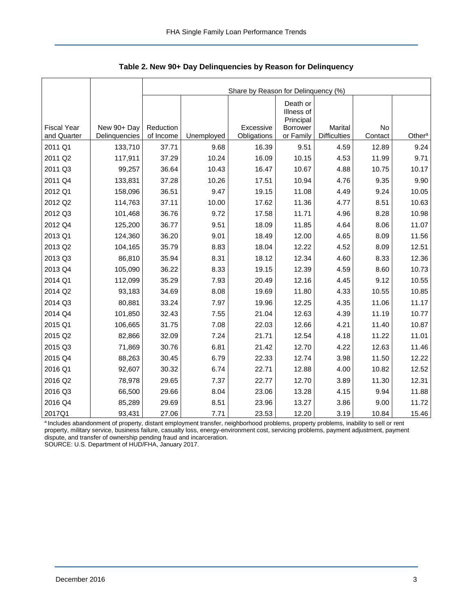<span id="page-3-0"></span>

|                                   |                              |                        |            | Share by Reason for Delinquency (%) |                                     |                                |               |                    |  |  |  |
|-----------------------------------|------------------------------|------------------------|------------|-------------------------------------|-------------------------------------|--------------------------------|---------------|--------------------|--|--|--|
|                                   |                              |                        |            |                                     | Death or<br>Illness of<br>Principal |                                |               |                    |  |  |  |
| <b>Fiscal Year</b><br>and Quarter | New 90+ Day<br>Delinquencies | Reduction<br>of Income | Unemployed | Excessive<br>Obligations            | <b>Borrower</b><br>or Family        | Marital<br><b>Difficulties</b> | No<br>Contact | Other <sup>a</sup> |  |  |  |
| 2011 Q1                           | 133,710                      | 37.71                  | 9.68       | 16.39                               | 9.51                                | 4.59                           | 12.89         | 9.24               |  |  |  |
| 2011 Q2                           | 117,911                      | 37.29                  | 10.24      | 16.09                               | 10.15                               | 4.53                           | 11.99         | 9.71               |  |  |  |
| 2011 Q3                           | 99,257                       | 36.64                  | 10.43      | 16.47                               | 10.67                               | 4.88                           | 10.75         | 10.17              |  |  |  |
| 2011 Q4                           | 133,831                      | 37.28                  | 10.26      | 17.51                               | 10.94                               | 4.76                           | 9.35          | 9.90               |  |  |  |
| 2012 Q1                           | 158,096                      | 36.51                  | 9.47       | 19.15                               | 11.08                               | 4.49                           | 9.24          | 10.05              |  |  |  |
| 2012 Q2                           | 114,763                      | 37.11                  | 10.00      | 17.62                               | 11.36                               | 4.77                           | 8.51          | 10.63              |  |  |  |
| 2012 Q3                           | 101,468                      | 36.76                  | 9.72       | 17.58                               | 11.71                               | 4.96                           | 8.28          | 10.98              |  |  |  |
| 2012 Q4                           | 125,200                      | 36.77                  | 9.51       | 18.09                               | 11.85                               | 4.64                           | 8.06          | 11.07              |  |  |  |
| 2013 Q1                           | 124,360                      | 36.20                  | 9.01       | 18.49                               | 12.00                               | 4.65                           | 8.09          | 11.56              |  |  |  |
| 2013 Q2                           | 104,165                      | 35.79                  | 8.83       | 18.04                               | 12.22                               | 4.52                           | 8.09          | 12.51              |  |  |  |
| 2013 Q3                           | 86,810                       | 35.94                  | 8.31       | 18.12                               | 12.34                               | 4.60                           | 8.33          | 12.36              |  |  |  |
| 2013 Q4                           | 105,090                      | 36.22                  | 8.33       | 19.15                               | 12.39                               | 4.59                           | 8.60          | 10.73              |  |  |  |
| 2014 Q1                           | 112,099                      | 35.29                  | 7.93       | 20.49                               | 12.16                               | 4.45                           | 9.12          | 10.55              |  |  |  |
| 2014 Q2                           | 93,183                       | 34.69                  | 8.08       | 19.69                               | 11.80                               | 4.33                           | 10.55         | 10.85              |  |  |  |
| 2014 Q3                           | 80,881                       | 33.24                  | 7.97       | 19.96                               | 12.25                               | 4.35                           | 11.06         | 11.17              |  |  |  |
| 2014 Q4                           | 101,850                      | 32.43                  | 7.55       | 21.04                               | 12.63                               | 4.39                           | 11.19         | 10.77              |  |  |  |
| 2015 Q1                           | 106,665                      | 31.75                  | 7.08       | 22.03                               | 12.66                               | 4.21                           | 11.40         | 10.87              |  |  |  |
| 2015 Q2                           | 82,866                       | 32.09                  | 7.24       | 21.71                               | 12.54                               | 4.18                           | 11.22         | 11.01              |  |  |  |
| 2015 Q3                           | 71,869                       | 30.76                  | 6.81       | 21.42                               | 12.70                               | 4.22                           | 12.63         | 11.46              |  |  |  |
| 2015 Q4                           | 88,263                       | 30.45                  | 6.79       | 22.33                               | 12.74                               | 3.98                           | 11.50         | 12.22              |  |  |  |
| 2016 Q1                           | 92,607                       | 30.32                  | 6.74       | 22.71                               | 12.88                               | 4.00                           | 10.82         | 12.52              |  |  |  |
| 2016 Q2                           | 78,978                       | 29.65                  | 7.37       | 22.77                               | 12.70                               | 3.89                           | 11.30         | 12.31              |  |  |  |
| 2016 Q3                           | 66,500                       | 29.66                  | 8.04       | 23.06                               | 13.28                               | 4.15                           | 9.94          | 11.88              |  |  |  |
| 2016 Q4                           | 85,289                       | 29.69                  | 8.51       | 23.96                               | 13.27                               | 3.86                           | 9.00          | 11.72              |  |  |  |
| 2017Q1                            | 93,431                       | 27.06                  | 7.71       | 23.53                               | 12.20                               | 3.19                           | 10.84         | 15.46              |  |  |  |

<span id="page-3-1"></span>**Table 2. New 90+ Day Delinquencies by Reason for Delinquency** 

a Includes abandonment of property, distant employment transfer, neighborhood problems, property problems, inability to sell or rent property, military service, business failure, casualty loss, energy-environment cost, servicing problems, payment adjustment, payment dispute, and transfer of ownership pending fraud and incarceration.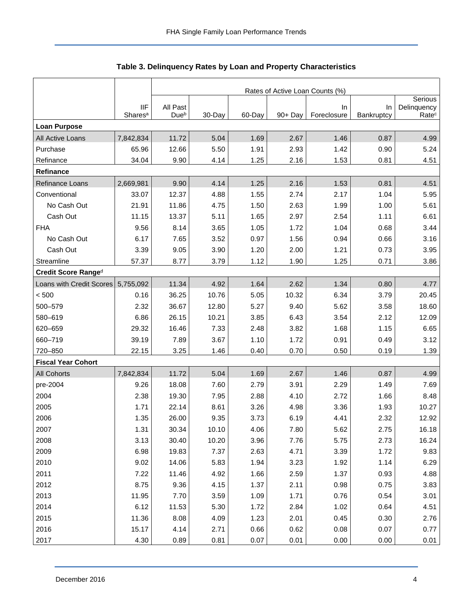<span id="page-4-0"></span>

|                           |                                   | Rates of Active Loan Counts (%) |        |        |         |                    |                  |                                  |  |  |  |
|---------------------------|-----------------------------------|---------------------------------|--------|--------|---------|--------------------|------------------|----------------------------------|--|--|--|
|                           |                                   |                                 |        |        |         |                    |                  | Serious                          |  |  |  |
|                           | <b>IIF</b><br>Shares <sup>a</sup> | All Past<br>Dueb                | 30-Day | 60-Day | 90+ Day | In.<br>Foreclosure | In<br>Bankruptcy | Delinquency<br>Rate <sup>c</sup> |  |  |  |
| <b>Loan Purpose</b>       |                                   |                                 |        |        |         |                    |                  |                                  |  |  |  |
| All Active Loans          | 7,842,834                         | 11.72                           | 5.04   | 1.69   | 2.67    | 1.46               | 0.87             | 4.99                             |  |  |  |
| Purchase                  | 65.96                             | 12.66                           | 5.50   | 1.91   | 2.93    | 1.42               | 0.90             | 5.24                             |  |  |  |
| Refinance                 | 34.04                             | 9.90                            | 4.14   | 1.25   | 2.16    | 1.53               | 0.81             | 4.51                             |  |  |  |
| Refinance                 |                                   |                                 |        |        |         |                    |                  |                                  |  |  |  |
| Refinance Loans           | 2,669,981                         | 9.90                            | 4.14   | 1.25   | 2.16    | 1.53               | 0.81             | 4.51                             |  |  |  |
| Conventional              | 33.07                             | 12.37                           | 4.88   | 1.55   | 2.74    | 2.17               | 1.04             | 5.95                             |  |  |  |
| No Cash Out               | 21.91                             | 11.86                           | 4.75   | 1.50   | 2.63    | 1.99               | 1.00             | 5.61                             |  |  |  |
| Cash Out                  | 11.15                             | 13.37                           | 5.11   | 1.65   | 2.97    | 2.54               | 1.11             | 6.61                             |  |  |  |
| <b>FHA</b>                | 9.56                              | 8.14                            | 3.65   | 1.05   | 1.72    | 1.04               | 0.68             | 3.44                             |  |  |  |
| No Cash Out               | 6.17                              | 7.65                            | 3.52   | 0.97   | 1.56    | 0.94               | 0.66             | 3.16                             |  |  |  |
| Cash Out                  | 3.39                              | 9.05                            | 3.90   | 1.20   | 2.00    | 1.21               | 0.73             | 3.95                             |  |  |  |
| Streamline                | 57.37                             | 8.77                            | 3.79   | 1.12   | 1.90    | 1.25               | 0.71             | 3.86                             |  |  |  |
| Credit Score Ranged       |                                   |                                 |        |        |         |                    |                  |                                  |  |  |  |
| Loans with Credit Scores  | 5,755,092                         | 11.34                           | 4.92   | 1.64   | 2.62    | 1.34               | 0.80             | 4.77                             |  |  |  |
| < 500                     | 0.16                              | 36.25                           | 10.76  | 5.05   | 10.32   | 6.34               | 3.79             | 20.45                            |  |  |  |
| 500-579                   | 2.32                              | 36.67                           | 12.80  | 5.27   | 9.40    | 5.62               | 3.58             | 18.60                            |  |  |  |
| 580-619                   | 6.86                              | 26.15                           | 10.21  | 3.85   | 6.43    | 3.54               | 2.12             | 12.09                            |  |  |  |
| 620-659                   | 29.32                             | 16.46                           | 7.33   | 2.48   | 3.82    | 1.68               | 1.15             | 6.65                             |  |  |  |
| 660-719                   | 39.19                             | 7.89                            | 3.67   | 1.10   | 1.72    | 0.91               | 0.49             | 3.12                             |  |  |  |
| 720-850                   | 22.15                             | 3.25                            | 1.46   | 0.40   | 0.70    | 0.50               | 0.19             | 1.39                             |  |  |  |
| <b>Fiscal Year Cohort</b> |                                   |                                 |        |        |         |                    |                  |                                  |  |  |  |
| All Cohorts               | 7,842,834                         | 11.72                           | 5.04   | 1.69   | 2.67    | 1.46               | 0.87             | 4.99                             |  |  |  |
| pre-2004                  | 9.26                              | 18.08                           | 7.60   | 2.79   | 3.91    | 2.29               | 1.49             | 7.69                             |  |  |  |
| 2004                      | 2.38                              | 19.30                           | 7.95   | 2.88   | 4.10    | 2.72               | 1.66             | 8.48                             |  |  |  |
| 2005                      | 1.71                              | 22.14                           | 8.61   | 3.26   | 4.98    | 3.36               | 1.93             | 10.27                            |  |  |  |
| 2006                      | 1.35                              | 26.00                           | 9.35   | 3.73   | 6.19    | 4.41               | 2.32             | 12.92                            |  |  |  |
| 2007                      | 1.31                              | 30.34                           | 10.10  | 4.06   | 7.80    | 5.62               | 2.75             | 16.18                            |  |  |  |
| 2008                      | 3.13                              | 30.40                           | 10.20  | 3.96   | 7.76    | 5.75               | 2.73             | 16.24                            |  |  |  |
| 2009                      | 6.98                              | 19.83                           | 7.37   | 2.63   | 4.71    | 3.39               | 1.72             | 9.83                             |  |  |  |
| 2010                      | 9.02                              | 14.06                           | 5.83   | 1.94   | 3.23    | 1.92               | 1.14             | 6.29                             |  |  |  |
| 2011                      | 7.22                              | 11.46                           | 4.92   | 1.66   | 2.59    | 1.37               | 0.93             | 4.88                             |  |  |  |
| 2012                      | 8.75                              | 9.36                            | 4.15   | 1.37   | 2.11    | 0.98               | 0.75             | 3.83                             |  |  |  |
| 2013                      | 11.95                             | 7.70                            | 3.59   | 1.09   | 1.71    | 0.76               | 0.54             | 3.01                             |  |  |  |
| 2014                      | 6.12                              | 11.53                           | 5.30   | 1.72   | 2.84    | 1.02               | 0.64             | 4.51                             |  |  |  |
| 2015                      | 11.36                             | 8.08                            | 4.09   | 1.23   | 2.01    | 0.45               | 0.30             | 2.76                             |  |  |  |
| 2016                      | 15.17                             | 4.14                            | 2.71   | 0.66   | 0.62    | 0.08               | 0.07             | 0.77                             |  |  |  |
| 2017                      | 4.30                              | 0.89                            | 0.81   | 0.07   | 0.01    | 0.00               | 0.00             | 0.01                             |  |  |  |

| Table 3. Delinquency Rates by Loan and Property Characteristics |  |  |  |
|-----------------------------------------------------------------|--|--|--|
|-----------------------------------------------------------------|--|--|--|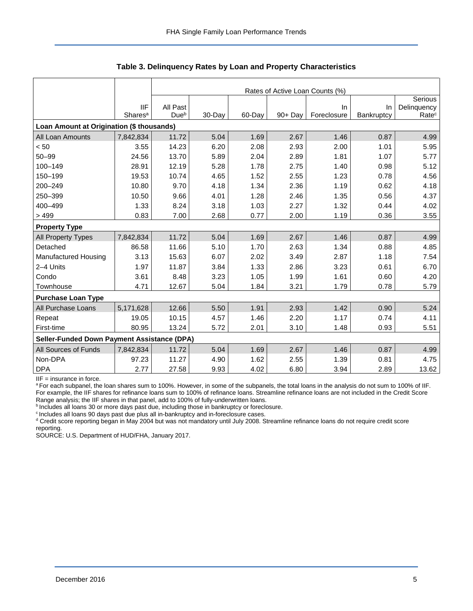|                                                    |                     | Rates of Active Loan Counts (%) |        |        |            |             |            |                   |  |  |
|----------------------------------------------------|---------------------|---------------------------------|--------|--------|------------|-------------|------------|-------------------|--|--|
|                                                    |                     |                                 |        |        |            |             |            | Serious           |  |  |
|                                                    | <b>IIF</b>          | All Past                        |        |        |            | In.         | <b>In</b>  | Delinquency       |  |  |
|                                                    | Shares <sup>a</sup> | Due <sup>b</sup>                | 30-Day | 60-Day | $90 + Day$ | Foreclosure | Bankruptcy | Rate <sup>c</sup> |  |  |
| Loan Amount at Origination (\$ thousands)          |                     |                                 |        |        |            |             |            |                   |  |  |
| All Loan Amounts                                   | 7,842,834           | 11.72                           | 5.04   | 1.69   | 2.67       | 1.46        | 0.87       | 4.99              |  |  |
| < 50                                               | 3.55                | 14.23                           | 6.20   | 2.08   | 2.93       | 2.00        | 1.01       | 5.95              |  |  |
| $50 - 99$                                          | 24.56               | 13.70                           | 5.89   | 2.04   | 2.89       | 1.81        | 1.07       | 5.77              |  |  |
| 100-149                                            | 28.91               | 12.19                           | 5.28   | 1.78   | 2.75       | 1.40        | 0.98       | 5.12              |  |  |
| 150-199                                            | 19.53               | 10.74                           | 4.65   | 1.52   | 2.55       | 1.23        | 0.78       | 4.56              |  |  |
| 200-249                                            | 10.80               | 9.70                            | 4.18   | 1.34   | 2.36       | 1.19        | 0.62       | 4.18              |  |  |
| 250-399                                            | 10.50               | 9.66                            | 4.01   | 1.28   | 2.46       | 1.35        | 0.56       | 4.37              |  |  |
| 400-499                                            | 1.33                | 8.24                            | 3.18   | 1.03   | 2.27       | 1.32        | 0.44       | 4.02              |  |  |
| >499                                               | 0.83                | 7.00                            | 2.68   | 0.77   | 2.00       | 1.19        | 0.36       | 3.55              |  |  |
| <b>Property Type</b>                               |                     |                                 |        |        |            |             |            |                   |  |  |
| All Property Types                                 | 7,842,834           | 11.72                           | 5.04   | 1.69   | 2.67       | 1.46        | 0.87       | 4.99              |  |  |
| Detached                                           | 86.58               | 11.66                           | 5.10   | 1.70   | 2.63       | 1.34        | 0.88       | 4.85              |  |  |
| Manufactured Housing                               | 3.13                | 15.63                           | 6.07   | 2.02   | 3.49       | 2.87        | 1.18       | 7.54              |  |  |
| 2-4 Units                                          | 1.97                | 11.87                           | 3.84   | 1.33   | 2.86       | 3.23        | 0.61       | 6.70              |  |  |
| Condo                                              | 3.61                | 8.48                            | 3.23   | 1.05   | 1.99       | 1.61        | 0.60       | 4.20              |  |  |
| Townhouse                                          | 4.71                | 12.67                           | 5.04   | 1.84   | 3.21       | 1.79        | 0.78       | 5.79              |  |  |
| <b>Purchase Loan Type</b>                          |                     |                                 |        |        |            |             |            |                   |  |  |
| All Purchase Loans                                 | 5,171,628           | 12.66                           | 5.50   | 1.91   | 2.93       | 1.42        | 0.90       | 5.24              |  |  |
| Repeat                                             | 19.05               | 10.15                           | 4.57   | 1.46   | 2.20       | 1.17        | 0.74       | 4.11              |  |  |
| First-time                                         | 80.95               | 13.24                           | 5.72   | 2.01   | 3.10       | 1.48        | 0.93       | 5.51              |  |  |
| <b>Seller-Funded Down Payment Assistance (DPA)</b> |                     |                                 |        |        |            |             |            |                   |  |  |
| All Sources of Funds                               | 7,842,834           | 11.72                           | 5.04   | 1.69   | 2.67       | 1.46        | 0.87       | 4.99              |  |  |
| Non-DPA                                            | 97.23               | 11.27                           | 4.90   | 1.62   | 2.55       | 1.39        | 0.81       | 4.75              |  |  |
| <b>DPA</b>                                         | 2.77                | 27.58                           | 9.93   | 4.02   | 6.80       | 3.94        | 2.89       | 13.62             |  |  |

**Table 3. Delinquency Rates by Loan and Property Characteristics** 

IIF = insurance in force.

a For each subpanel, the loan shares sum to 100%. However, in some of the subpanels, the total loans in the analysis do not sum to 100% of IIF. For example, the IIF shares for refinance loans sum to 100% of refinance loans. Streamline refinance loans are not included in the Credit Score Range analysis; the IIF shares in that panel, add to 100% of fully-underwritten loans.

bincludes all loans 30 or more days past due, including those in bankruptcy or foreclosure.

<sup>c</sup> Includes all loans 90 days past due plus all in-bankruptcy and in-foreclosure cases.

<sup>d</sup> Credit score reporting began in May 2004 but was not mandatory until July 2008. Streamline refinance loans do not require credit score reporting.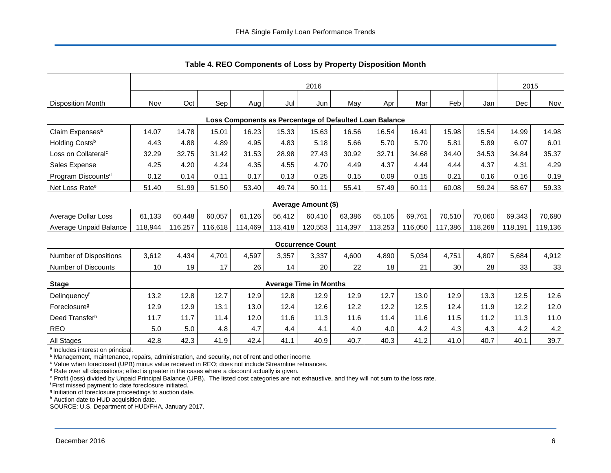<span id="page-6-0"></span>

|                                                         | 2016    |         |         |         |         |                               |         |         |         | 2015    |         |         |         |
|---------------------------------------------------------|---------|---------|---------|---------|---------|-------------------------------|---------|---------|---------|---------|---------|---------|---------|
| <b>Disposition Month</b>                                | Nov     | Oct     | Sep     | Aug     | Jul     | Jun                           | May     | Apr     | Mar     | Feb     | Jan     | Dec     | Nov     |
| Loss Components as Percentage of Defaulted Loan Balance |         |         |         |         |         |                               |         |         |         |         |         |         |         |
| Claim Expenses <sup>a</sup>                             | 14.07   | 14.78   | 15.01   | 16.23   | 15.33   | 15.63                         | 16.56   | 16.54   | 16.41   | 15.98   | 15.54   | 14.99   | 14.98   |
| Holding Costsb                                          | 4.43    | 4.88    | 4.89    | 4.95    | 4.83    | 5.18                          | 5.66    | 5.70    | 5.70    | 5.81    | 5.89    | 6.07    | 6.01    |
| Loss on Collateral <sup>c</sup>                         | 32.29   | 32.75   | 31.42   | 31.53   | 28.98   | 27.43                         | 30.92   | 32.71   | 34.68   | 34.40   | 34.53   | 34.84   | 35.37   |
| Sales Expense                                           | 4.25    | 4.20    | 4.24    | 4.35    | 4.55    | 4.70                          | 4.49    | 4.37    | 4.44    | 4.44    | 4.37    | 4.31    | 4.29    |
| Program Discounts <sup>d</sup>                          | 0.12    | 0.14    | 0.11    | 0.17    | 0.13    | 0.25                          | 0.15    | 0.09    | 0.15    | 0.21    | 0.16    | 0.16    | 0.19    |
| Net Loss Rate <sup>e</sup>                              | 51.40   | 51.99   | 51.50   | 53.40   | 49.74   | 50.11                         | 55.41   | 57.49   | 60.11   | 60.08   | 59.24   | 58.67   | 59.33   |
|                                                         |         |         |         |         |         | Average Amount (\$)           |         |         |         |         |         |         |         |
| Average Dollar Loss                                     | 61,133  | 60,448  | 60,057  | 61,126  | 56,412  | 60,410                        | 63,386  | 65,105  | 69,761  | 70,510  | 70,060  | 69,343  | 70,680  |
| Average Unpaid Balance                                  | 118,944 | 116,257 | 116,618 | 114,469 | 113,418 | 120,553                       | 114,397 | 113,253 | 116,050 | 117,386 | 118,268 | 118,191 | 119,136 |
|                                                         |         |         |         |         |         | <b>Occurrence Count</b>       |         |         |         |         |         |         |         |
| <b>Number of Dispositions</b>                           | 3,612   | 4,434   | 4,701   | 4.597   | 3,357   | 3,337                         | 4,600   | 4,890   | 5,034   | 4,751   | 4,807   | 5,684   | 4,912   |
| <b>Number of Discounts</b>                              | 10      | 19      | 17      | 26      | 14      | 20                            | 22      | 18      | 21      | 30      | 28      | 33      | 33      |
| <b>Stage</b>                                            |         |         |         |         |         | <b>Average Time in Months</b> |         |         |         |         |         |         |         |
| Delinquencyf                                            | 13.2    | 12.8    | 12.7    | 12.9    | 12.8    | 12.9                          | 12.9    | 12.7    | 13.0    | 12.9    | 13.3    | 12.5    | 12.6    |
| Foreclosure <sup>g</sup>                                | 12.9    | 12.9    | 13.1    | 13.0    | 12.4    | 12.6                          | 12.2    | 12.2    | 12.5    | 12.4    | 11.9    | 12.2    | 12.0    |
| Deed Transferh                                          | 11.7    | 11.7    | 11.4    | 12.0    | 11.6    | 11.3                          | 11.6    | 11.4    | 11.6    | 11.5    | 11.2    | 11.3    | 11.0    |
| <b>REO</b>                                              | 5.0     | 5.0     | 4.8     | 4.7     | 4.4     | 4.1                           | 4.0     | 4.0     | 4.2     | 4.3     | 4.3     | 4.2     | 4.2     |
| All Stages                                              | 42.8    | 42.3    | 41.9    | 42.4    | 41.1    | 40.9                          | 40.7    | 40.3    | 41.2    | 41.0    | 40.7    | 40.1    | 39.7    |

<span id="page-6-1"></span>**Table 4. REO Components of Loss by Property Disposition Month** 

<sup>a</sup> Includes interest on principal.

<sup>b</sup> Management, maintenance, repairs, administration, and security, net of rent and other income.

<sup>c</sup> Value when foreclosed (UPB) minus value received in REO; does not include Streamline refinances.

<sup>d</sup> Rate over all dispositions; effect is greater in the cases where a discount actually is given.

e Profit (loss) divided by Unpaid Principal Balance (UPB). The listed cost categories are not exhaustive, and they will not sum to the loss rate.

<sup>f</sup>First missed payment to date foreclosure initiated.

g Initiation of foreclosure proceedings to auction date.

h Auction date to HUD acquisition date.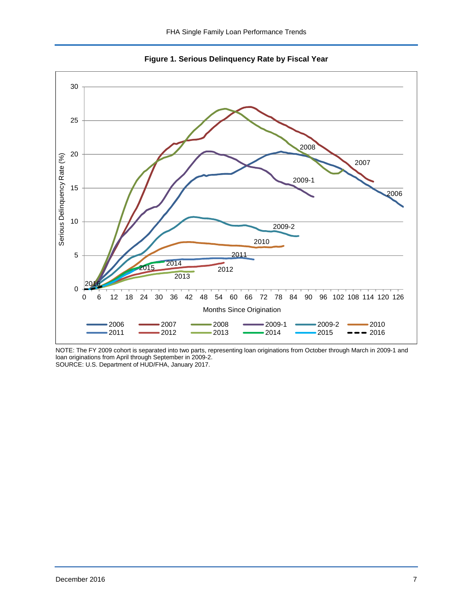<span id="page-7-0"></span>

<span id="page-7-1"></span>**Figure 1. Serious Delinquency Rate by Fiscal Year** 

NOTE: The FY 2009 cohort is separated into two parts, representing loan originations from October through March in 2009-1 and loan originations from April through September in 2009-2. SOURCE: U.S. Department of HUD/FHA, January 2017.